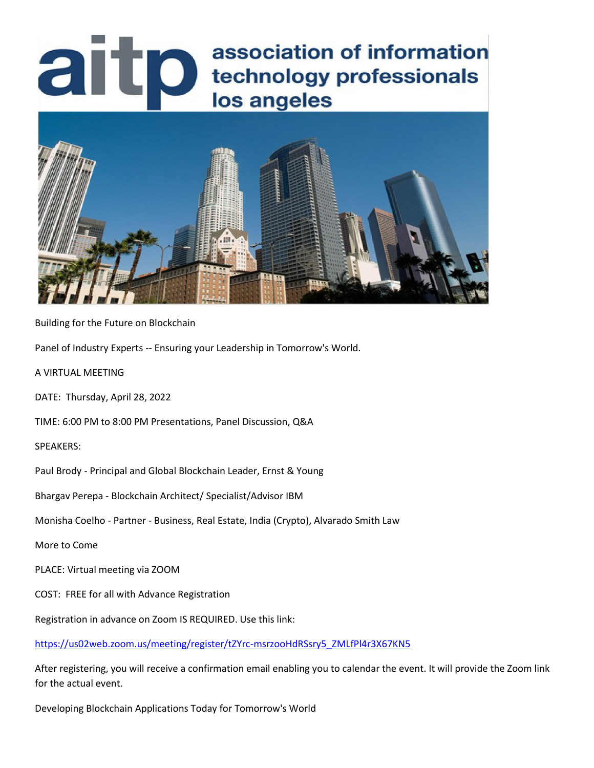# **association of information**<br>lechnology professionals<br>los angeles association of information los angeles



Building for the Future on Blockchain

Panel of Industry Experts -- Ensuring your Leadership in Tomorrow's World.

A VIRTUAL MEETING

DATE: Thursday, April 28, 2022

TIME: 6:00 PM to 8:00 PM Presentations, Panel Discussion, Q&A

SPEAKERS:

Paul Brody - Principal and Global Blockchain Leader, Ernst & Young

Bhargav Perepa - Blockchain Architect/ Specialist/Advisor IBM

Monisha Coelho - Partner - Business, Real Estate, India (Crypto), Alvarado Smith Law

More to Come

PLACE: Virtual meeting via ZOOM

COST: FREE for all with Advance Registration

Registration in advance on Zoom IS REQUIRED. Use this link:

[https://us02web.zoom.us/meeting/register/tZYrc-msrzooHdRSsry5\\_ZMLfPl4r3X67KN5](https://us02web.zoom.us/meeting/register/tZYrc-msrzooHdRSsry5_ZMLfPl4r3X67KN5)

After registering, you will receive a confirmation email enabling you to calendar the event. It will provide the Zoom link for the actual event.

Developing Blockchain Applications Today for Tomorrow's World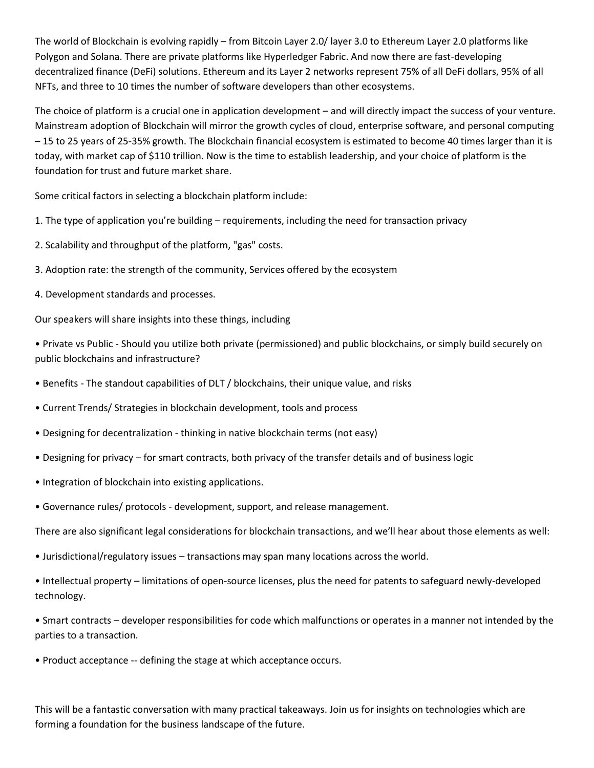The world of Blockchain is evolving rapidly – from Bitcoin Layer 2.0/ layer 3.0 to Ethereum Layer 2.0 platforms like Polygon and Solana. There are private platforms like Hyperledger Fabric. And now there are fast-developing decentralized finance (DeFi) solutions. Ethereum and its Layer 2 networks represent 75% of all DeFi dollars, 95% of all NFTs, and three to 10 times the number of software developers than other ecosystems.

The choice of platform is a crucial one in application development – and will directly impact the success of your venture. Mainstream adoption of Blockchain will mirror the growth cycles of cloud, enterprise software, and personal computing – 15 to 25 years of 25-35% growth. The Blockchain financial ecosystem is estimated to become 40 times larger than it is today, with market cap of \$110 trillion. Now is the time to establish leadership, and your choice of platform is the foundation for trust and future market share.

Some critical factors in selecting a blockchain platform include:

- 1. The type of application you're building requirements, including the need for transaction privacy
- 2. Scalability and throughput of the platform, "gas" costs.
- 3. Adoption rate: the strength of the community, Services offered by the ecosystem
- 4. Development standards and processes.

Our speakers will share insights into these things, including

• Private vs Public - Should you utilize both private (permissioned) and public blockchains, or simply build securely on public blockchains and infrastructure?

- Benefits The standout capabilities of DLT / blockchains, their unique value, and risks
- Current Trends/ Strategies in blockchain development, tools and process
- Designing for decentralization thinking in native blockchain terms (not easy)
- Designing for privacy for smart contracts, both privacy of the transfer details and of business logic
- Integration of blockchain into existing applications.
- Governance rules/ protocols development, support, and release management.

There are also significant legal considerations for blockchain transactions, and we'll hear about those elements as well:

- Jurisdictional/regulatory issues transactions may span many locations across the world.
- Intellectual property limitations of open-source licenses, plus the need for patents to safeguard newly-developed technology.
- Smart contracts developer responsibilities for code which malfunctions or operates in a manner not intended by the parties to a transaction.
- Product acceptance -- defining the stage at which acceptance occurs.

This will be a fantastic conversation with many practical takeaways. Join us for insights on technologies which are forming a foundation for the business landscape of the future.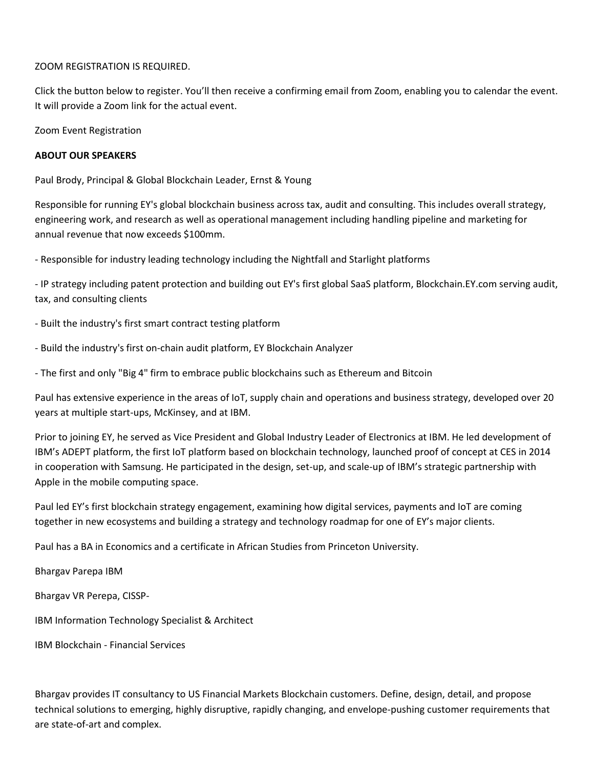#### ZOOM REGISTRATION IS REQUIRED.

Click the button below to register. You'll then receive a confirming email from Zoom, enabling you to calendar the event. It will provide a Zoom link for the actual event.

Zoom Event Registration

## **ABOUT OUR SPEAKERS**

Paul Brody, Principal & Global Blockchain Leader, Ernst & Young

Responsible for running EY's global blockchain business across tax, audit and consulting. This includes overall strategy, engineering work, and research as well as operational management including handling pipeline and marketing for annual revenue that now exceeds \$100mm.

- Responsible for industry leading technology including the Nightfall and Starlight platforms

- IP strategy including patent protection and building out EY's first global SaaS platform, Blockchain.EY.com serving audit, tax, and consulting clients

- Built the industry's first smart contract testing platform
- Build the industry's first on-chain audit platform, EY Blockchain Analyzer
- The first and only "Big 4" firm to embrace public blockchains such as Ethereum and Bitcoin

Paul has extensive experience in the areas of IoT, supply chain and operations and business strategy, developed over 20 years at multiple start-ups, McKinsey, and at IBM.

Prior to joining EY, he served as Vice President and Global Industry Leader of Electronics at IBM. He led development of IBM's ADEPT platform, the first IoT platform based on blockchain technology, launched proof of concept at CES in 2014 in cooperation with Samsung. He participated in the design, set-up, and scale-up of IBM's strategic partnership with Apple in the mobile computing space.

Paul led EY's first blockchain strategy engagement, examining how digital services, payments and IoT are coming together in new ecosystems and building a strategy and technology roadmap for one of EY's major clients.

Paul has a BA in Economics and a certificate in African Studies from Princeton University.

Bhargav Parepa IBM

Bhargav VR Perepa, CISSP-

IBM Information Technology Specialist & Architect

IBM Blockchain - Financial Services

Bhargav provides IT consultancy to US Financial Markets Blockchain customers. Define, design, detail, and propose technical solutions to emerging, highly disruptive, rapidly changing, and envelope-pushing customer requirements that are state-of-art and complex.